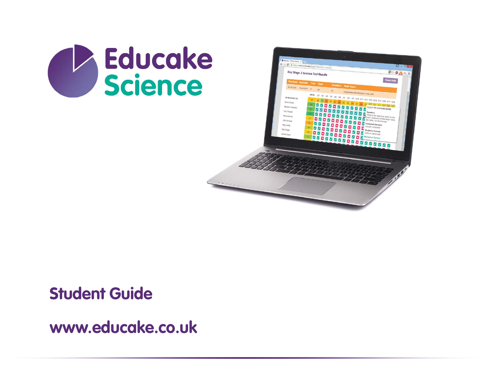



#### **Student Guide**

**www.educake.co.uk**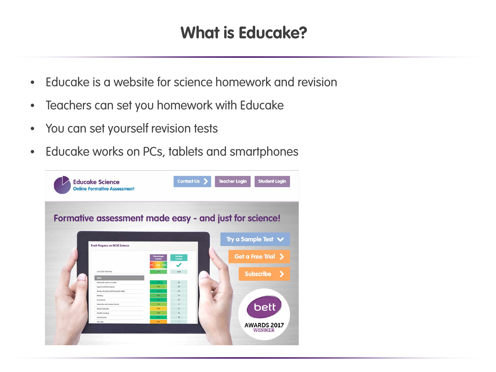# **What is Educake?**

- Educake is a website for science homework and revision
- Teachers can set you homework with Educake
- You can set yourself revision tests
- Educake works on PCs, tablets and smartphones

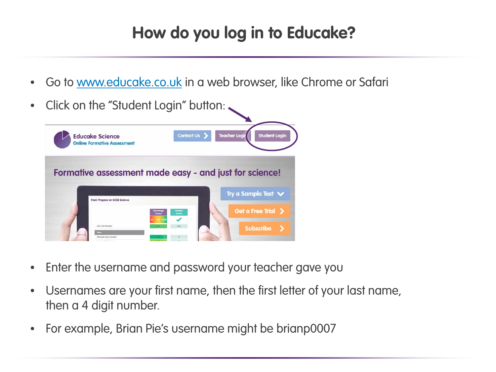# **How do you log in to Educake?**

• Go to <u>www.educake.co.uk</u> in a web browser, like Chrome or Safari



- Enter the username and password your teacher gave you
- Usernames are your first name, then the first letter of your last name, then a 4 digit number.
- For example, Brian Pie's username might be brianp0007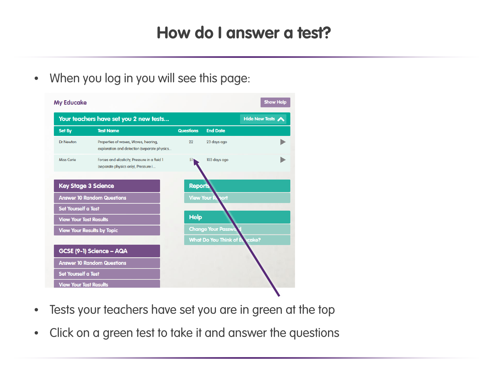## **How do I answer a test?**

• When you log in you will see this page:



- Tests your teachers have set you are in green at the top
- Click on a green test to take it and answer the questions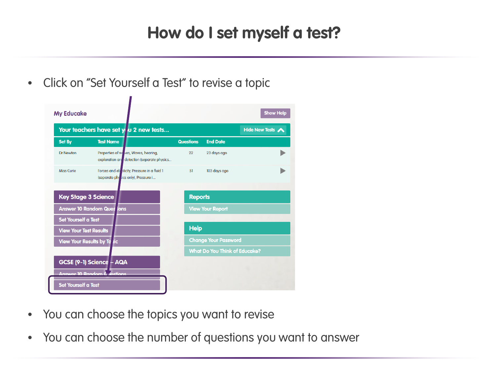## **How do I set myself a test?**

• Click on "Set Yourself a Test" to revise a topic



- You can choose the topics you want to revise
- You can choose the number of questions you want to answer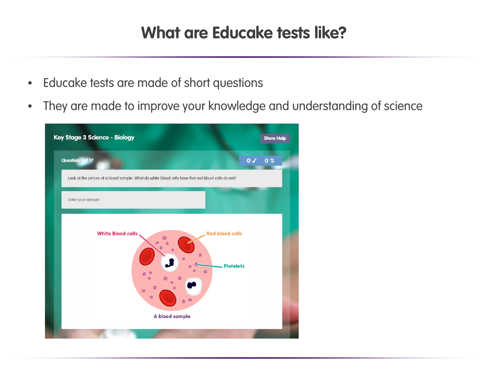### **What are Educake tests like?**

- Educake tests are made of short questions
- They are made to improve your knowledge and understanding of science

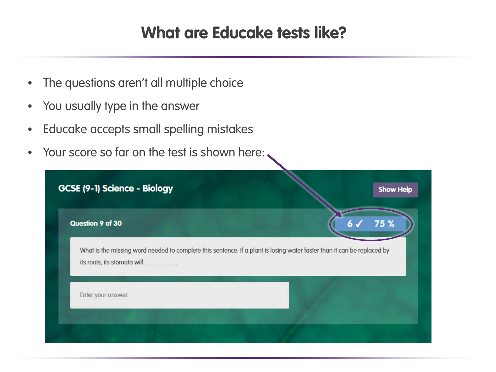### **What are Educake tests like?**

- The questions aren't all multiple choice
- You usually type in the answer
- Educake accepts small spelling mistakes
- Your score so far on the test is shown here:

| Question 9 of 30                                                                                                                                       |  | 75 % |
|--------------------------------------------------------------------------------------------------------------------------------------------------------|--|------|
| What is the missing word needed to complete this sentence: If a plant is losing water faster than it can be replaced by<br>its roots, its stomata will |  |      |
|                                                                                                                                                        |  |      |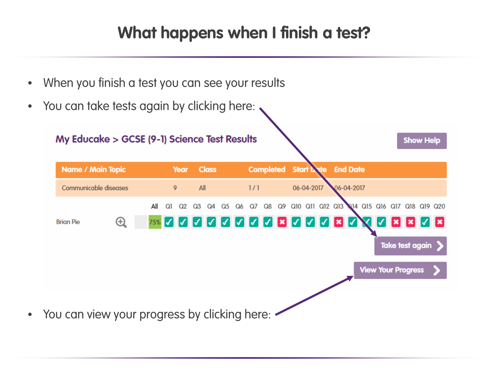## **What happens when I finish a test?**

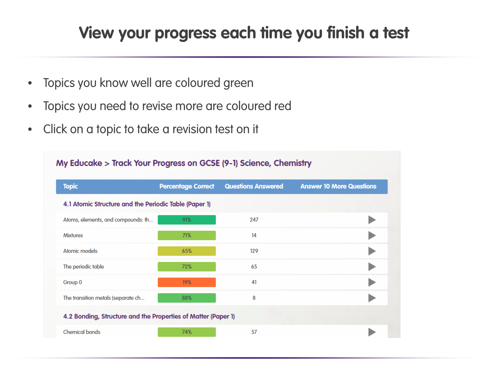# **View your progress each time you finish a test**

- Topics you know well are coloured green
- Topics you need to revise more are coloured red
- Click on a topic to take a revision test on it

| <b>Topic</b>                                                  | <b>Percentage Correct</b> | <b>Questions Answered</b> | <b>Answer 10 More Questions</b> |
|---------------------------------------------------------------|---------------------------|---------------------------|---------------------------------|
| 4.1 Atomic Structure and the Periodic Table (Paper 1)         |                           |                           |                                 |
| Atoms, elements, and compounds: th                            | 91%                       | 247                       |                                 |
| <b>Mixtures</b>                                               | 71%                       | 14                        |                                 |
| Atomic models                                                 | 65%                       | 129                       |                                 |
| The periodic table                                            | 72%                       | 65                        |                                 |
| Group 0                                                       | 19%                       | 41                        |                                 |
| The transition metals (separate ch                            | 88%                       | 8                         |                                 |
| 4.2 Bonding, Structure and the Properties of Matter (Paper 1) |                           |                           |                                 |
| <b>Chemical bonds</b>                                         | 74%                       | 57                        |                                 |